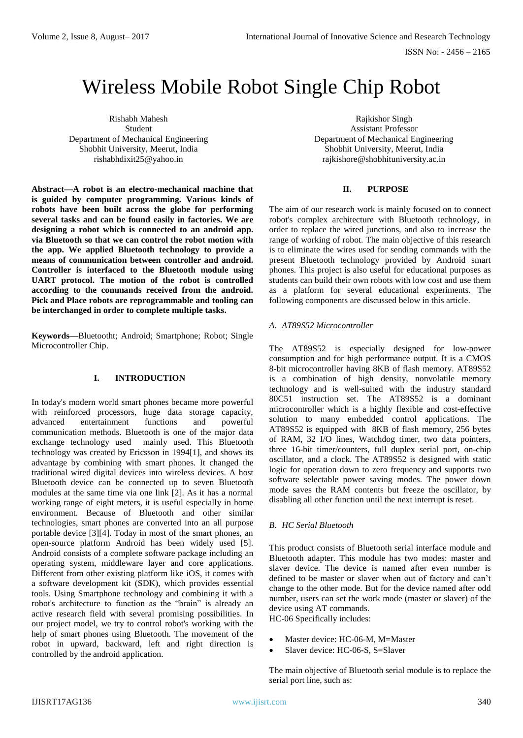# Wireless Mobile Robot Single Chip Robot

Rishabh Mahesh Student Department of Mechanical Engineering Shobhit University, Meerut, India rishabhdixit25@yahoo.in

**Abstract—A robot is an electro-mechanical machine that is guided by computer programming. Various kinds of robots have been built across the globe for performing several tasks and can be found easily in factories. We are designing a robot which is connected to an android app. via Bluetooth so that we can control the robot motion with the app. We applied Bluetooth technology to provide a means of communication between controller and android. Controller is interfaced to the Bluetooth module using UART protocol. The motion of the robot is controlled according to the commands received from the android. Pick and Place robots are reprogrammable and tooling can be interchanged in order to complete multiple tasks.**

**Keywords—**Bluetootht; Android; Smartphone; Robot; Single Microcontroller Chip.

## **I. INTRODUCTION**

In today's modern world smart phones became more powerful with reinforced processors, huge data storage capacity, advanced entertainment functions and powerful communication methods. Bluetooth is one of the major data exchange technology used mainly used. This Bluetooth technology was created by Ericsson in 1994[1], and shows its advantage by combining with smart phones. It changed the traditional wired digital devices into wireless devices. A host Bluetooth device can be connected up to seven Bluetooth modules at the same time via one link [2]. As it has a normal working range of eight meters, it is useful especially in home environment. Because of Bluetooth and other similar technologies, smart phones are converted into an all purpose portable device [3][4]. Today in most of the smart phones, an open-source platform Android has been widely used [5]. Android consists of a complete software package including an operating system, middleware layer and core applications. Different from other existing platform like iOS, it comes with a software development kit (SDK), which provides essential tools. Using Smartphone technology and combining it with a robot's architecture to function as the "brain" is already an active research field with several promising possibilities. In our project model, we try to control robot's working with the help of smart phones using Bluetooth. The movement of the robot in upward, backward, left and right direction is controlled by the android application.

Rajkishor Singh Assistant Professor Department of Mechanical Engineering Shobhit University, Meerut, India rajkishore@shobhituniversity.ac.in

#### **II. PURPOSE**

The aim of our research work is mainly focused on to connect robot's complex architecture with Bluetooth technology, in order to replace the wired junctions, and also to increase the range of working of robot. The main objective of this research is to eliminate the wires used for sending commands with the present Bluetooth technology provided by Android smart phones. This project is also useful for educational purposes as students can build their own robots with low cost and use them as a platform for several educational experiments. The following components are discussed below in this article.

#### *A. AT89S52 Microcontroller*

The AT89S52 is especially designed for low-power consumption and for high performance output. It is a CMOS 8-bit microcontroller having 8KB of flash memory. AT89S52 is a combination of high density, nonvolatile memory technology and is well-suited with the industry standard 80C51 instruction set. The AT89S52 is a dominant microcontroller which is a highly flexible and cost-effective solution to many embedded control applications. The AT89S52 is equipped with 8KB of flash memory, 256 bytes of RAM, 32 I/O lines, Watchdog timer, two data pointers, three 16-bit timer/counters, full duplex serial port, on-chip oscillator, and a clock. The AT89S52 is designed with static logic for operation down to zero frequency and supports two software selectable power saving modes. The power down mode saves the RAM contents but freeze the oscillator, by disabling all other function until the next interrupt is reset.

#### *B. HC Serial Bluetooth*

This product consists of Bluetooth serial interface module and Bluetooth adapter. This module has two modes: master and slaver device. The device is named after even number is defined to be master or slaver when out of factory and can't change to the other mode. But for the device named after odd number, users can set the work mode (master or slaver) of the device using AT commands.

HC-06 Specifically includes:

- Master device: HC-06-M, M=Master
- Slaver device: HC-06-S, S=Slaver

The main objective of Bluetooth serial module is to replace the serial port line, such as: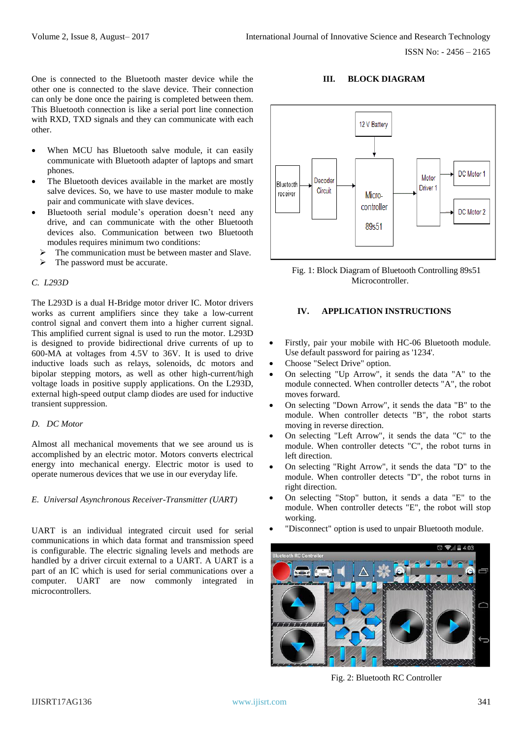One is connected to the Bluetooth master device while the other one is connected to the slave device. Their connection can only be done once the pairing is completed between them. This Bluetooth connection is like a serial port line connection with RXD, TXD signals and they can communicate with each other.

- When MCU has Bluetooth salve module, it can easily communicate with Bluetooth adapter of laptops and smart phones.
- The Bluetooth devices available in the market are mostly salve devices. So, we have to use master module to make pair and communicate with slave devices.
- Bluetooth serial module's operation doesn't need any drive, and can communicate with the other Bluetooth devices also. Communication between two Bluetooth modules requires minimum two conditions:
	- The communication must be between master and Slave.
	- The password must be accurate.

#### *C. L293D*

The L293D is a dual H-Bridge motor driver IC. Motor drivers works as current amplifiers since they take a low-current control signal and convert them into a higher current signal. This amplified current signal is used to run the motor. L293D is designed to provide bidirectional drive currents of up to 600-MA at voltages from 4.5V to 36V. It is used to drive inductive loads such as relays, solenoids, dc motors and bipolar stepping motors, as well as other high-current/high voltage loads in positive supply applications. On the L293D, external high-speed output clamp diodes are used for inductive transient suppression.

#### *D. DC Motor*

Almost all mechanical movements that we see around us is accomplished by an electric motor. Motors converts electrical energy into mechanical energy. Electric motor is used to operate numerous devices that we use in our everyday life.

#### *E. Universal Asynchronous Receiver-Transmitter (UART)*

UART is an individual integrated circuit used for serial communications in which data format and transmission speed is configurable. The electric signaling levels and methods are handled by a driver circuit external to a UART. A UART is a part of an IC which is used for serial communications over a computer. UART are now commonly integrated in microcontrollers.

## **III. BLOCK DIAGRAM**



Fig. 1: Block Diagram of Bluetooth Controlling 89s51 Microcontroller.

## **IV. APPLICATION INSTRUCTIONS**

- Firstly, pair your mobile with HC-06 Bluetooth module. Use default password for pairing as '1234'.
- Choose "Select Drive" option.
- On selecting "Up Arrow", it sends the data "A" to the module connected. When controller detects "A", the robot moves forward.
- On selecting "Down Arrow", it sends the data "B" to the module. When controller detects "B", the robot starts moving in reverse direction.
- On selecting "Left Arrow", it sends the data "C" to the module. When controller detects "C", the robot turns in left direction.
- On selecting "Right Arrow", it sends the data "D" to the module. When controller detects "D", the robot turns in right direction.
- On selecting "Stop" button, it sends a data "E" to the module. When controller detects "E", the robot will stop working.
- "Disconnect" option is used to unpair Bluetooth module.



Fig. 2: Bluetooth RC Controller